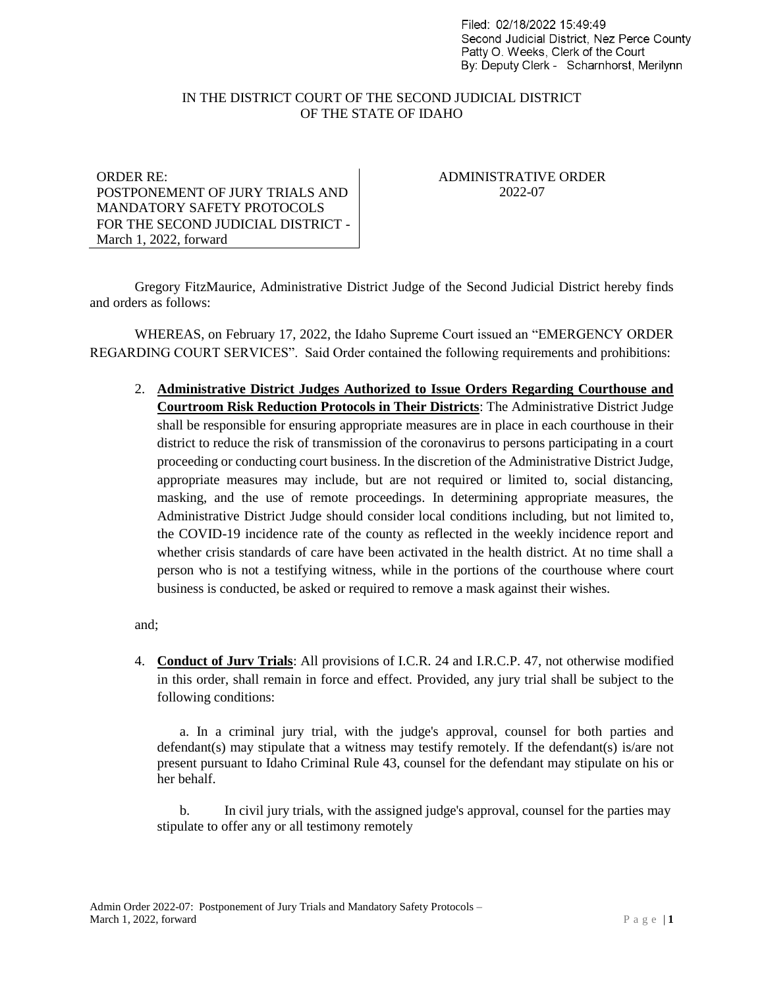Filed: 02/18/2022 15:49:49 Second Judicial District. Nez Perce County Patty O. Weeks, Clerk of the Court By: Deputy Clerk - Scharnhorst, Merilynn

## IN THE DISTRICT COURT OF THE SECOND JUDICIAL DISTRICT OF THE STATE OF IDAHO

ORDER RE: POSTPONEMENT OF JURY TRIALS AND MANDATORY SAFETY PROTOCOLS FOR THE SECOND JUDICIAL DISTRICT - March 1, 2022, forward

ADMINISTRATIVE ORDER 2022-07

Gregory FitzMaurice, Administrative District Judge of the Second Judicial District hereby finds and orders as follows:

WHEREAS, on February 17, 2022, the Idaho Supreme Court issued an "EMERGENCY ORDER REGARDING COURT SERVICES". Said Order contained the following requirements and prohibitions:

2. **Administrative District Judges Authorized to Issue Orders Regarding Courthouse and Courtroom Risk Reduction Protocols in Their Districts**: The Administrative District Judge shall be responsible for ensuring appropriate measures are in place in each courthouse in their district to reduce the risk of transmission of the coronavirus to persons participating in a court proceeding or conducting court business. In the discretion of the Administrative District Judge, appropriate measures may include, but are not required or limited to, social distancing, masking, and the use of remote proceedings. In determining appropriate measures, the Administrative District Judge should consider local conditions including, but not limited to, the COVID-19 incidence rate of the county as reflected in the weekly incidence report and whether crisis standards of care have been activated in the health district. At no time shall a person who is not a testifying witness, while in the portions of the courthouse where court business is conducted, be asked or required to remove a mask against their wishes.

and;

4. **Conduct of Jurv Trials**: All provisions of I.C.R. 24 and I.R.C.P. 47, not otherwise modified in this order, shall remain in force and effect. Provided, any jury trial shall be subject to the following conditions:

a. In a criminal jury trial, with the judge's approval, counsel for both parties and defendant(s) may stipulate that a witness may testify remotely. If the defendant(s) is/are not present pursuant to Idaho Criminal Rule 43, counsel for the defendant may stipulate on his or her behalf.

b. In civil jury trials, with the assigned judge's approval, counsel for the parties may stipulate to offer any or all testimony remotely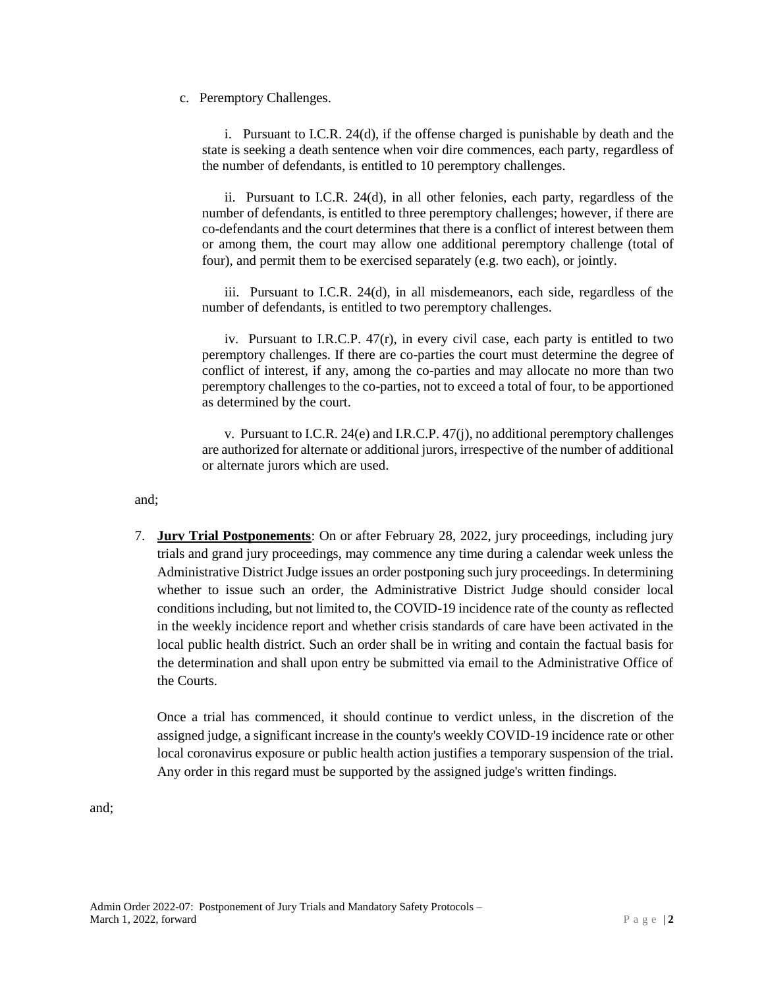c. Peremptory Challenges.

i. Pursuant to I.C.R. 24(d), if the offense charged is punishable by death and the state is seeking a death sentence when voir dire commences, each party, regardless of the number of defendants, is entitled to 10 peremptory challenges.

ii. Pursuant to I.C.R. 24(d), in all other felonies, each party, regardless of the number of defendants, is entitled to three peremptory challenges; however, if there are co-defendants and the court determines that there is a conflict of interest between them or among them, the court may allow one additional peremptory challenge (total of four), and permit them to be exercised separately (e.g. two each), or jointly.

iii. Pursuant to I.C.R. 24(d), in all misdemeanors, each side, regardless of the number of defendants, is entitled to two peremptory challenges.

iv. Pursuant to I.R.C.P. 47(r), in every civil case, each party is entitled to two peremptory challenges. If there are co-parties the court must determine the degree of conflict of interest, if any, among the co-parties and may allocate no more than two peremptory challenges to the co-parties, not to exceed a total of four, to be apportioned as determined by the court.

v. Pursuant to I.C.R. 24(e) and I.R.C.P. 47(j), no additional peremptory challenges are authorized for alternate or additional jurors, irrespective of the number of additional or alternate jurors which are used.

and;

7. **Jurv Trial Postponements**: On or after February 28, 2022, jury proceedings, including jury trials and grand jury proceedings, may commence any time during a calendar week unless the Administrative District Judge issues an order postponing such jury proceedings. In determining whether to issue such an order, the Administrative District Judge should consider local conditions including, but not limited to, the COVID-19 incidence rate of the county as reflected in the weekly incidence report and whether crisis standards of care have been activated in the local public health district. Such an order shall be in writing and contain the factual basis for the determination and shall upon entry be submitted via email to the Administrative Office of the Courts.

Once a trial has commenced, it should continue to verdict unless, in the discretion of the assigned judge, a significant increase in the county's weekly COVID-19 incidence rate or other local coronavirus exposure or public health action justifies a temporary suspension of the trial. Any order in this regard must be supported by the assigned judge's written findings.

and;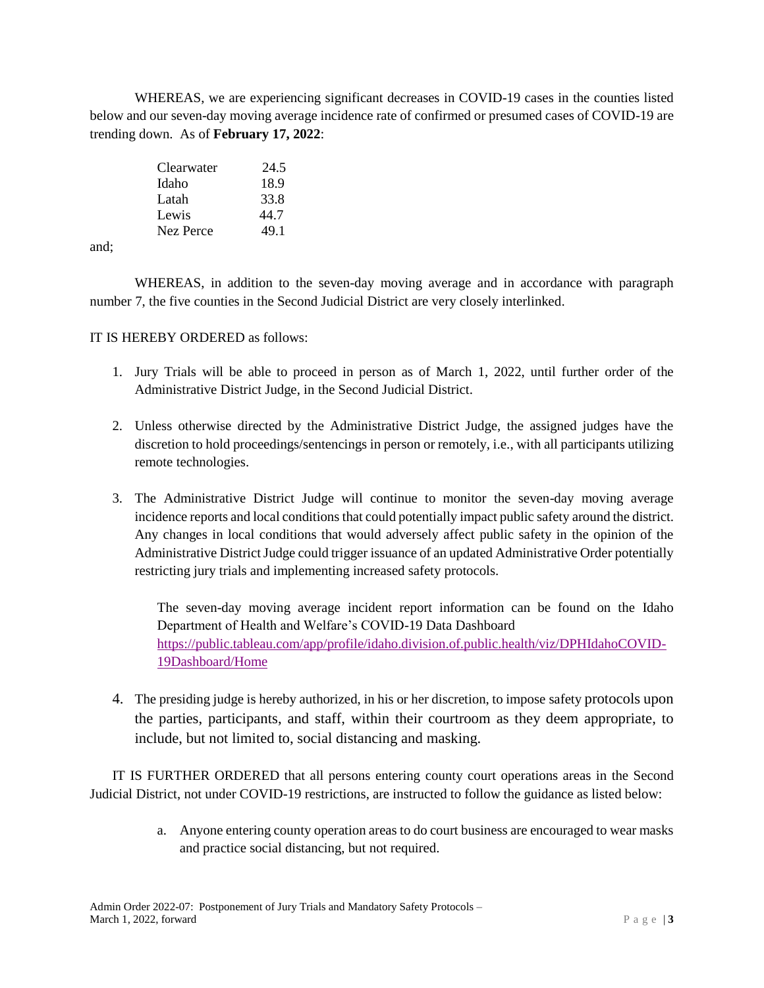WHEREAS, we are experiencing significant decreases in COVID-19 cases in the counties listed below and our seven-day moving average incidence rate of confirmed or presumed cases of COVID-19 are trending down. As of **February 17, 2022**:

| Clearwater | 24.5 |
|------------|------|
| Idaho      | 18.9 |
| Latah      | 33.8 |
| Lewis      | 44.7 |
| Nez Perce  | 49.1 |

and;

WHEREAS, in addition to the seven-day moving average and in accordance with paragraph number 7, the five counties in the Second Judicial District are very closely interlinked.

## IT IS HEREBY ORDERED as follows:

- 1. Jury Trials will be able to proceed in person as of March 1, 2022, until further order of the Administrative District Judge, in the Second Judicial District.
- 2. Unless otherwise directed by the Administrative District Judge, the assigned judges have the discretion to hold proceedings/sentencings in person or remotely, i.e., with all participants utilizing remote technologies.
- 3. The Administrative District Judge will continue to monitor the seven-day moving average incidence reports and local conditions that could potentially impact public safety around the district. Any changes in local conditions that would adversely affect public safety in the opinion of the Administrative District Judge could trigger issuance of an updated Administrative Order potentially restricting jury trials and implementing increased safety protocols.

The seven-day moving average incident report information can be found on the Idaho Department of Health and Welfare's COVID-19 Data Dashboard [https://public.tableau.com/app/profile/idaho.division.of.public.health/viz/DPHIdahoCOVID-](https://public.tableau.com/app/profile/idaho.division.of.public.health/viz/DPHIdahoCOVID-19Dashboard/Home)[19Dashboard/Home](https://public.tableau.com/app/profile/idaho.division.of.public.health/viz/DPHIdahoCOVID-19Dashboard/Home)

4. The presiding judge is hereby authorized, in his or her discretion, to impose safety protocols upon the parties, participants, and staff, within their courtroom as they deem appropriate, to include, but not limited to, social distancing and masking.

IT IS FURTHER ORDERED that all persons entering county court operations areas in the Second Judicial District, not under COVID-19 restrictions, are instructed to follow the guidance as listed below:

> a. Anyone entering county operation areas to do court business are encouraged to wear masks and practice social distancing, but not required.